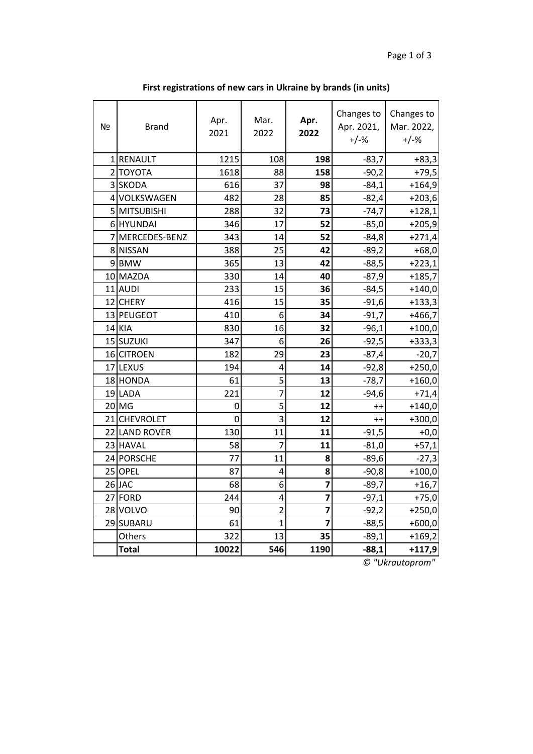| Nº | <b>Brand</b>    | Apr.<br>2021   | Mar.<br>2022   | Apr.<br>2022            | Changes to<br>Apr. 2021,<br>$+/-%$ | Changes to<br>Mar. 2022,<br>$+/-%$ |
|----|-----------------|----------------|----------------|-------------------------|------------------------------------|------------------------------------|
|    | 1 RENAULT       | 1215           | 108            | 198                     | $-83,7$                            | $+83,3$                            |
|    | 2 ΤΟΥΟΤΑ        | 1618           | 88             | 158                     | $-90,2$                            | $+79,5$                            |
|    | 3 SKODA         | 616            | 37             | 98                      | $-84,1$                            | $+164,9$                           |
|    | 4 VOLKSWAGEN    | 482            | 28             | 85                      | $-82,4$                            | $+203,6$                           |
|    | 5 MITSUBISHI    | 288            | 32             | 73                      | $-74,7$                            | $+128,1$                           |
|    | 6 HYUNDAI       | 346            | 17             | 52                      | $-85,0$                            | $+205,9$                           |
|    | 7 MERCEDES-BENZ | 343            | 14             | 52                      | $-84,8$                            | $+271,4$                           |
|    | 8 NISSAN        | 388            | 25             | 42                      | $-89,2$                            | $+68,0$                            |
|    | 9BMW            | 365            | 13             | 42                      | $-88,5$                            | $+223,1$                           |
|    | 10 MAZDA        | 330            | 14             | 40                      | $-87,9$                            | $+185,7$                           |
|    | 11 AUDI         | 233            | 15             | 36                      | $-84,5$                            | $+140,0$                           |
|    | 12 CHERY        | 416            | 15             | 35                      | $-91,6$                            | $+133,3$                           |
|    | 13 PEUGEOT      | 410            | 6              | 34                      | $-91,7$                            | $+466,7$                           |
|    | $14$ KIA        | 830            | 16             | 32                      | $-96,1$                            | $+100,0$                           |
|    | 15 SUZUKI       | 347            | 6              | 26                      | $-92,5$                            | $+333,3$                           |
|    | 16 CITROEN      | 182            | 29             | 23                      | $-87,4$                            | $-20,7$                            |
|    | 17 LEXUS        | 194            | 4              | 14                      | $-92,8$                            | $+250,0$                           |
|    | 18 HONDA        | 61             | 5              | 13                      | $-78,7$                            | $+160,0$                           |
|    | 19 LADA         | 221            | $\overline{7}$ | 12                      | $-94,6$                            | $+71,4$                            |
|    | 20 MG           | 0              | 5              | 12                      | $++$                               | $+140,0$                           |
|    | 21 CHEVROLET    | $\overline{0}$ | 3              | 12                      | $++$                               | $+300,0$                           |
|    | 22 LAND ROVER   | 130            | 11             | 11                      | $-91,5$                            | $+0,0$                             |
|    | 23 HAVAL        | 58             | $\overline{7}$ | 11                      | $-81,0$                            | $+57,1$                            |
|    | 24 PORSCHE      | 77             | 11             | 8                       | $-89,6$                            | $-27,3$                            |
|    | 25 OPEL         | 87             | 4              | 8                       | $-90,8$                            | $+100,0$                           |
|    | 26 JAC          | 68             | 6              | $\overline{7}$          | $-89,7$                            | $+16,7$                            |
|    | 27 FORD         | 244            | 4              | $\overline{\mathbf{z}}$ | $-97,1$                            | $+75,0$                            |
|    | 28 VOLVO        | 90             | $\overline{2}$ | $\overline{7}$          | $-92,2$                            | $+250,0$                           |
|    | 29 SUBARU       | 61             | $\overline{1}$ | $\overline{\mathbf{z}}$ | $-88,5$                            | $+600,0$                           |
|    | Others          | 322            | 13             | 35                      | $-89,1$                            | $+169,2$                           |
|    | <b>Total</b>    | 10022          | 546            | 1190                    | $-88,1$                            | $+117,9$                           |

**First registrations of new cars in Ukraine by brands (in units)**

*© "Ukrautoprom"*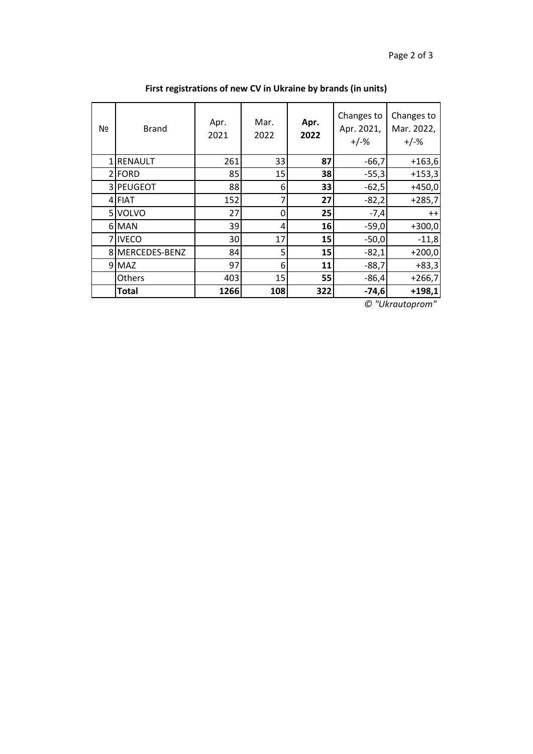| Nº             | <b>Brand</b>   | Apr.<br>2021 | Mar.<br>2022 | Apr.<br>2022 | Changes to<br>Apr. 2021,<br>$+/-%$ | Changes to<br>Mar. 2022,<br>$+/-%$ |
|----------------|----------------|--------------|--------------|--------------|------------------------------------|------------------------------------|
| 1              | <b>RENAULT</b> | 261          | 33           | 87           | $-66,7$                            | $+163,6$                           |
| $\overline{2}$ | <b>FORD</b>    | 85           | 15           | 38           | $-55,3$                            | $+153,3$                           |
| $\overline{3}$ | <b>PEUGEOT</b> | 88           | 6            | 33           | $-62,5$                            | $+450,0$                           |
|                | 4 FIAT         | 152          |              | 27           | $-82,2$                            | $+285,7$                           |
| 5 <sup>1</sup> | <b>VOLVO</b>   | 27           | 0            | 25           | $-7,4$                             | $++$                               |
| 61             | <b>MAN</b>     | 39           | 4            | 16           | $-59,0$                            | $+300,0$                           |
| 7              | <b>IVECO</b>   | 30           | 17           | 15           | $-50,0$                            | $-11,8$                            |
| 8              | MERCEDES-BENZ  | 84           | 5            | 15           | $-82,1$                            | $+200,0$                           |
|                | $9$ MAZ        | 97           | 6            | 11           | $-88,7$                            | $+83,3$                            |
|                | Others         | 403          | 15           | 55           | $-86,4$                            | $+266,7$                           |
|                | <b>Total</b>   | 1266         | 108          | 322          | $-74,6$                            | $+198,1$                           |

## **First registrations of new CV in Ukraine by brands (in units)**

*© "Ukrautoprom"*